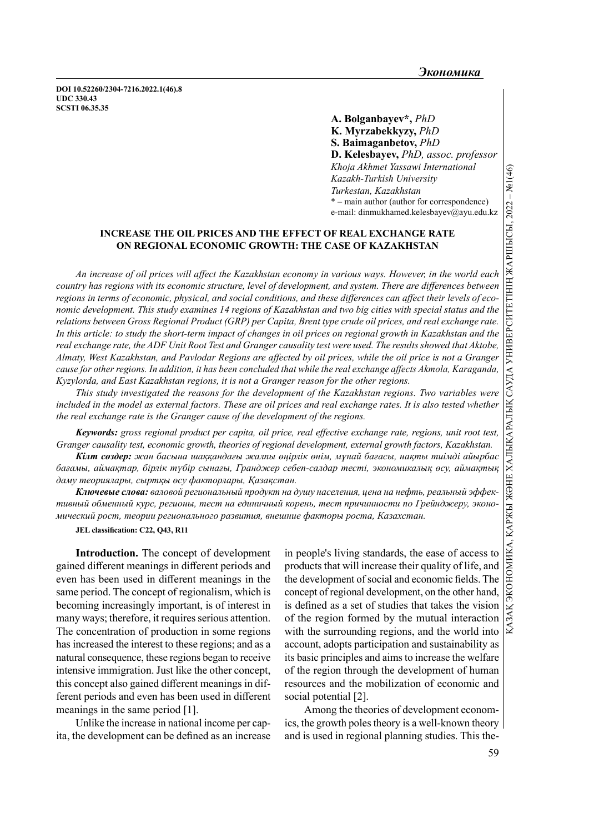DOI 10.52260/2304-7216.2022.1(46).8 UDC 330.43 SCSTI 06.35.35

A. Bolganbayev\*, PhD K. Myrzabekkyzy, PhD S. Baimaganbetov, PhD D. Kelesbayev, PhD, assoc. professor Khoja Akhmet Yassawi International Kazakh-Turkish University Turkestan, Kazakhstan \* – main author (author for correspondence) e-mail: dinmukhamed.kelesbayev@ayu.edu.kz

### INCREASE THE OIL PRICES AND THE EFFECT OF REAL EXCHANGE RATE ON REGIONAL ECONOMIC GROWTH: THE CASE OF KAZAKHSTAN

An increase of oil prices will affect the Kazakhstan economy in various ways. However, in the world each country has regions with its economic structure, level of development, and system. There are differences between regions in terms of economic, physical, and social conditions, and these differences can affect their levels of economic development. This study examines 14 regions of Kazakhstan and two big cities with special status and the relations between Gross Regional Product (GRP) per Capita, Brent type crude oil prices, and real exchange rate. In this article: to study the short-term impact of changes in oil prices on regional growth in Kazakhstan and the real exchange rate, the ADF Unit Root Test and Granger causality test were used. The results showed that Aktobe, Almaty, West Kazakhstan, and Pavlodar Regions are affected by oil prices, while the oil price is not a Granger Example 18. Example 18. Example 18. Example 18. Example 18. Example 18. The region of the region of the region of the region of the region of the region of the region of the region of the region of  $\sim$  18. EVC III THE CA Kyzylorda, and East Kazakhstan regions, it is not a Granger reason for the other regions.

This study investigated the reasons for the development of the Kazakhstan regions. Two variables were included in the model as external factors. These are oil prices and real exchange rates. It is also tested whether the real exchange rate is the Granger cause of the development of the regions.

Keywords: gross regional product per capita, oil price, real effective exchange rate, regions, unit root test Granger causality test, economic growth, theories of regional development, external growth factors, Kazakhstan.

Кілт сөздер: жан басына шаққандағы жалпы өңірлік өнім, мұнай бағасы, нақты тиімді айырбас бағамы, аймақтар, бірлік түбір сынағы, Гранджер себеп-салдар тесті, экономикалық өсу, аймақтық даму теориялары, сыртқы өсу факторлары, Қазақстан.

Ключевые слова: валовой региональный продукт на душу населения, цена на нефть, реальный эффективный обменный курс, регионы, тест на единичный корень, тест причинности по Грейнджеру, экономический рост, теории регионального развития, внешние факторы роста, Казахстан.

JEL classification: C22, Q43, R11

Introduction. The concept of development gained different meanings in different periods and even has been used in different meanings in the same period. The concept of regionalism, which is becoming increasingly important, is of interest in many ways; therefore, it requires serious attention. The concentration of production in some regions has increased the interest to these regions; and as a natural consequence, these regions began to receive intensive immigration. Just like the other concept, this concept also gained different meanings in different periods and even has been used in different meanings in the same period [1].

Unlike the increase in national income per capita, the development can be defined as an increase in people's living standards, the ease of access to products that will increase their quality of life, and the development of social and economic fields. The concept of regional development, on the other hand, is defined as a set of studies that takes the vision of the region formed by the mutual interaction with the surrounding regions, and the world into account, adopts participation and sustainability as its basic principles and aims to increase the welfare of the region through the development of human resources and the mobilization of economic and social potential [2].

Among the theories of development economics, the growth poles theory is a well-known theory and is used in regional planning studies. This the-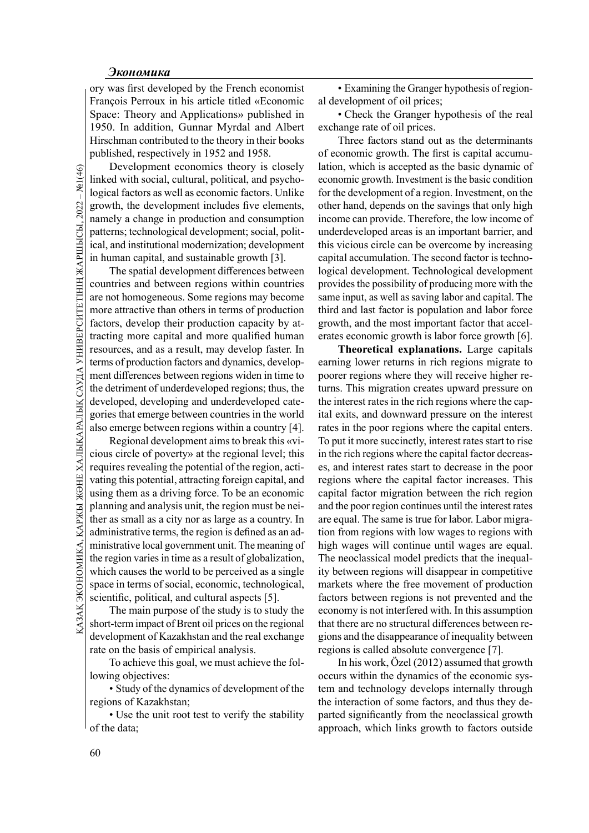ory was first developed by the French economist François Perroux in his article titled «Economic Space: Theory and Applications» published in 1950. In addition, Gunnar Myrdal and Albert Hirschman contributed to the theory in their books published, respectively in 1952 and 1958.

Development economics theory is closely linked with social, cultural, political, and psychological factors as well as economic factors. Unlike growth, the development includes five elements, namely a change in production and consumption patterns; technological development; social, political, and institutional modernization; development in human capital, and sustainable growth [3].

Levelopment eco<br>
linked with social, cultum logical factors as well a<br>
growth, the developme<br>
namely a change in proportions, technological<br>
ical, and institutional m<br>
in luman capital, and S<br>
The spatial develop<br>
countri The spatial development differences between countries and between regions within countries are not homogeneous. Some regions may become more attractive than others in terms of production factors, develop their production capacity by attracting more capital and more qualified human resources, and as a result, may develop faster. In terms of production factors and dynamics, development differences between regions widen in time to the detriment of underdeveloped regions; thus, the developed, developing and underdeveloped categories that emerge between countries in the world also emerge between regions within a country [4].

As a divided by the same of the study is to study the equal. The meaning and analysis unit, the region must be nei-<br>  $\frac{1}{2}$  planning and analysis unit, the region must be nei-<br>
administrative terms, the region is defin Regional development aims to break this «vicious circle of poverty» at the regional level; this requires revealing the potential of the region, activating this potential, attracting foreign capital, and using them as a driving force. To be an economic planning and analysis unit, the region must be neither as small as a city nor as large as a country. In administrative terms, the region is defined as an administrative local government unit. The meaning of the region varies in time as a result of globalization, which causes the world to be perceived as a single space in terms of social, economic, technological, scientific, political, and cultural aspects [5].

The main purpose of the study is to study the short-term impact of Brent oil prices on the regional development of Kazakhstan and the real exchange rate on the basis of empirical analysis.

To achieve this goal, we must achieve the following objectives:

• Study of the dynamics of development of the regions of Kazakhstan;

• Use the unit root test to verify the stability of the data;

• Examining the Granger hypothesis of regional development of oil prices;

• Check the Granger hypothesis of the real exchange rate of oil prices.

Three factors stand out as the determinants of economic growth. The first is capital accumulation, which is accepted as the basic dynamic of economic growth. Investment is the basic condition for the development of a region. Investment, on the other hand, depends on the savings that only high income can provide. Therefore, the low income of underdeveloped areas is an important barrier, and this vicious circle can be overcome by increasing capital accumulation. The second factor is technological development. Technological development provides the possibility of producing more with the same input, as well as saving labor and capital. The third and last factor is population and labor force growth, and the most important factor that accelerates economic growth is labor force growth [6].

Theoretical explanations. Large capitals earning lower returns in rich regions migrate to poorer regions where they will receive higher returns. This migration creates upward pressure on the interest rates in the rich regions where the capital exits, and downward pressure on the interest rates in the poor regions where the capital enters. To put it more succinctly, interest rates start to rise in the rich regions where the capital factor decreases, and interest rates start to decrease in the poor regions where the capital factor increases. This capital factor migration between the rich region and the poor region continues until the interest rates are equal. The same is true for labor. Labor migration from regions with low wages to regions with high wages will continue until wages are equal. The neoclassical model predicts that the inequality between regions will disappear in competitive markets where the free movement of production factors between regions is not prevented and the economy is not interfered with. In this assumption that there are no structural differences between regions and the disappearance of inequality between regions is called absolute convergence [7].

In his work, Özel (2012) assumed that growth occurs within the dynamics of the economic system and technology develops internally through the interaction of some factors, and thus they departed significantly from the neoclassical growth approach, which links growth to factors outside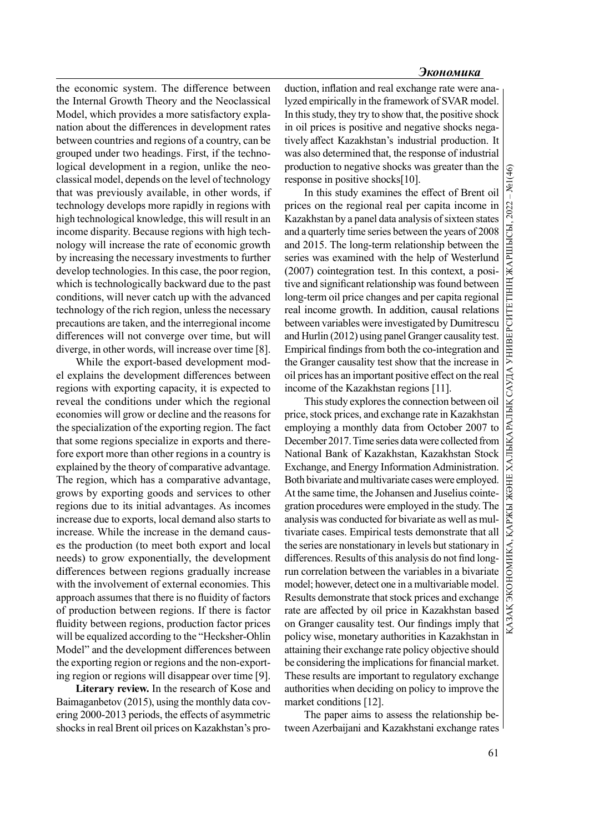the economic system. The difference between the Internal Growth Theory and the Neoclassical Model, which provides a more satisfactory explanation about the differences in development rates between countries and regions of a country, can be grouped under two headings. First, if the technological development in a region, unlike the neoclassical model, depends on the level of technology that was previously available, in other words, if technology develops more rapidly in regions with high technological knowledge, this will result in an income disparity. Because regions with high technology will increase the rate of economic growth by increasing the necessary investments to further develop technologies. In this case, the poor region, which is technologically backward due to the past conditions, will never catch up with the advanced technology of the rich region, unless the necessary precautions are taken, and the interregional income differences will not converge over time, but will diverge, in other words, will increase over time [8].

While the export-based development model explains the development differences between regions with exporting capacity, it is expected to reveal the conditions under which the regional economies will grow or decline and the reasons for the specialization of the exporting region. The fact that some regions specialize in exports and therefore export more than other regions in a country is explained by the theory of comparative advantage. The region, which has a comparative advantage, grows by exporting goods and services to other regions due to its initial advantages. As incomes increase due to exports, local demand also starts to increase. While the increase in the demand causes the production (to meet both export and local needs) to grow exponentially, the development differences between regions gradually increase with the involvement of external economies. This approach assumes that there is no fluidity of factors of production between regions. If there is factor fluidity between regions, production factor prices will be equalized according to the "Hecksher-Ohlin Model" and the development differences between the exporting region or regions and the non-exporting region or regions will disappear over time [9].

Literary review. In the research of Kose and Baimaganbetov (2015), using the monthly data covering 2000-2013 periods, the effects of asymmetric shocks in real Brent oil prices on Kazakhstan's pro-

duction, inflation and real exchange rate were analyzed empirically in the framework of SVAR model. In this study, they try to show that, the positive shock in oil prices is positive and negative shocks negatively affect Kazakhstan's industrial production. It was also determined that, the response of industrial production to negative shocks was greater than the response in positive shocks[10].

In this study examines the effect of Brent oil Kazakhstan by a panel data analysis of sixteen states and a quarterly time series between the years of 2008 and 2015. The long-term relationship between the series was examined with the help of Westerlund (2007) cointegration test. In this context, a positive and significant relationship was found between long-term oil price changes and per capita regional real income growth. In addition, causal relations between variables were investigated by Dumitrescu and Hurlin (2012) using panel Granger causality test. Empirical findings from both the co-integration and the Granger causality test show that the increase in oil prices has an important positive effect on the real income of the Kazakhstan regions [11].

production to negative shocks was greater than the response in positive shocks [10]. In this study examines the effect of Brent oil prices on the regional real per capita income in Kazakhstan by a panel data analysis of s This study explores the connection between oil price, stock prices, and exchange rate in Kazakhstan employing a monthly data from October 2007 to December 2017. Time series data were collected from National Bank of Kazakhstan, Kazakhstan Stock Exchange, and Energy Information Administration. Both bivariate and multivariate cases were employed. At the same time, the Johansen and Juselius cointegration procedures were employed in the study. The analysis was conducted for bivariate as well as multivariate cases. Empirical tests demonstrate that all the series are nonstationary in levels but stationary in differences. Results of this analysis do not find longrun correlation between the variables in a bivariate model; however, detect one in a multivariable model. Results demonstrate that stock prices and exchange rate are affected by oil price in Kazakhstan based on Granger causality test. Our findings imply that policy wise, monetary authorities in Kazakhstan in attaining their exchange rate policy objective should be considering the implications for financial market. These results are important to regulatory exchange authorities when deciding on policy to improve the market conditions [12].

The paper aims to assess the relationship between Azerbaijani and Kazakhstani exchange rates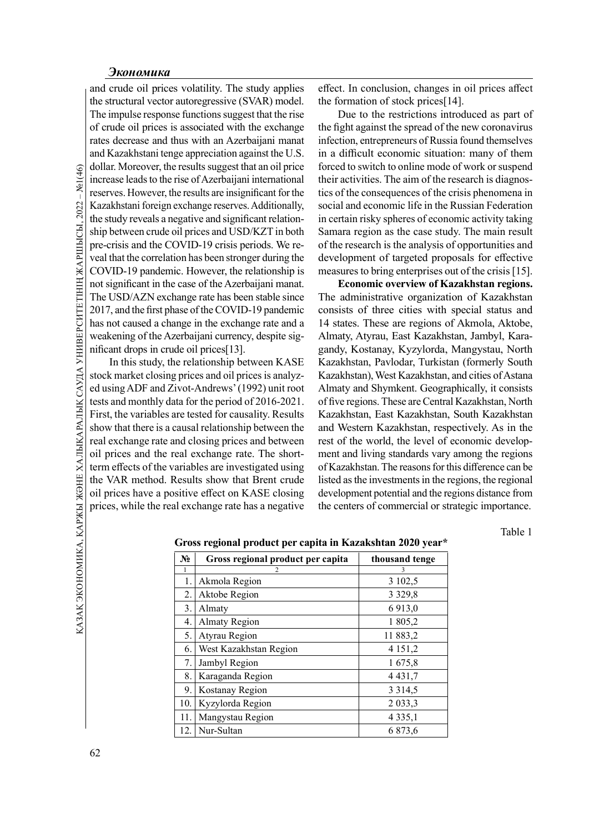Gendal Moreover, the rest<br>
increase leads to the rise<br>
increase leads to the rise<br>
reserves. However, the rest<br>
the study reveals a negat<br>
ship between crude oil p<br>
pre-crisis and the COVID<br>
veal that the correlation I<br>
co and crude oil prices volatility. The study applies the structural vector autoregressive (SVAR) model. The impulse response functions suggest that the rise of crude oil prices is associated with the exchange rates decrease and thus with an Azerbaijani manat and Kazakhstani tenge appreciation against the U.S. dollar. Moreover, the results suggest that an oil price increase leads to the rise of Azerbaijani international reserves. However, the results are insignificant for the Kazakhstani foreign exchange reserves. Additionally, the study reveals a negative and significant relationship between crude oil prices and USD/KZT in both pre-crisis and the COVID-19 crisis periods. We reveal that the correlation has been stronger during the COVID-19 pandemic. However, the relationship is not significant in the case of the Azerbaijani manat. The USD/AZN exchange rate has been stable since 2017, and the first phase of the COVID-19 pandemic has not caused a change in the exchange rate and a weakening of the Azerbaijani currency, despite significant drops in crude oil prices[13].

In this study, the relationship between KASE stock market closing prices and oil prices is analyzed using ADF and Zivot-Andrews' (1992) unit root tests and monthly data for the period of 2016-2021. First, the variables are tested for causality. Results show that there is a causal relationship between the real exchange rate and closing prices and between oil prices and the real exchange rate. The shortterm effects of the variables are investigated using the VAR method. Results show that Brent crude oil prices have a positive effect on KASE closing prices, while the real exchange rate has a negative

effect. In conclusion, changes in oil prices affect the formation of stock prices[14].

Due to the restrictions introduced as part of the fight against the spread of the new coronavirus infection, entrepreneurs of Russia found themselves in a difficult economic situation: many of them forced to switch to online mode of work or suspend their activities. The aim of the research is diagnostics of the consequences of the crisis phenomena in social and economic life in the Russian Federation in certain risky spheres of economic activity taking Samara region as the case study. The main result of the research is the analysis of opportunities and development of targeted proposals for effective measures to bring enterprises out of the crisis [15].

Economic overview of Kazakhstan regions. The administrative organization of Kazakhstan consists of three cities with special status and 14 states. These are regions of Akmola, Aktobe, Almaty, Atyrau, East Kazakhstan, Jambyl, Karagandy, Kostanay, Kyzylorda, Mangystau, North Kazakhstan, Pavlodar, Turkistan (formerly South Kazakhstan), West Kazakhstan, and cities of Astana Almaty and Shymkent. Geographically, it consists of five regions. These are Central Kazakhstan, North Kazakhstan, East Kazakhstan, South Kazakhstan and Western Kazakhstan, respectively. As in the rest of the world, the level of economic development and living standards vary among the regions of Kazakhstan. The reasons for this difference can be listed as the investments in the regions, the regional development potential and the regions distance from the centers of commercial or strategic importance.

Table 1

|     | Gross regional product per capita in Kazakshtan 2020 year* |                |  |
|-----|------------------------------------------------------------|----------------|--|
| No  | Gross regional product per capita                          | thousand tenge |  |
|     |                                                            |                |  |
|     | Akmola Region                                              | 3 102,5        |  |
| 2.  | Aktobe Region                                              | 3 3 2 9 , 8    |  |
| 3.  | Almaty                                                     | 6 9 1 3 , 0    |  |
| 4.  | <b>Almaty Region</b>                                       | 1 805,2        |  |
| 5.  | Atyrau Region                                              | 11 883,2       |  |
| 6.  | West Kazakhstan Region                                     | 4 1 5 1 , 2    |  |
| 7.  | Jambyl Region                                              | 1675,8         |  |
| 8.  | Karaganda Region                                           | 4 4 3 1 , 7    |  |
| 9.  | <b>Kostanay Region</b>                                     | 3 3 1 4 , 5    |  |
| 10. | Kyzylorda Region                                           | 2 0 3 3 , 3    |  |
| 11. | Mangystau Region                                           | 4 3 3 5 , 1    |  |
| 12. | Nur-Sultan                                                 | 6 873,6        |  |

Gross regional product per capita in Kazakshtan 2020 year\*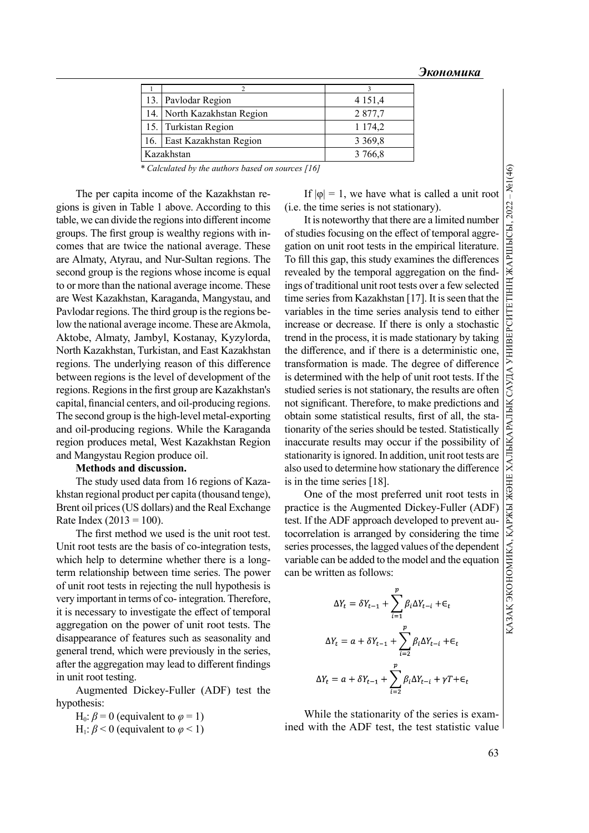|            | 13. Pavlodar Region         | 4 1 5 1 , 4 |
|------------|-----------------------------|-------------|
|            | 14. North Kazakhstan Region | 2877,7      |
|            | 15. Turkistan Region        | 1 1 7 4 2   |
|            | 16. East Kazakhstan Region  | 3 3 6 9 , 8 |
| Kazakhstan |                             | 3 766,8     |

\* Calculated by the authors based on sources [16]

The per capita income of the Kazakhstan regions is given in Table 1 above. According to this table, we can divide the regions into different income groups. The first group is wealthy regions with incomes that are twice the national average. These are Almaty, Atyrau, and Nur-Sultan regions. The second group is the regions whose income is equal to or more than the national average income. These are West Kazakhstan, Karaganda, Mangystau, and Pavlodar regions. The third group is the regions below the national average income. These are Akmola, Aktobe, Almaty, Jambyl, Kostanay, Kyzylorda, North Kazakhstan, Turkistan, and East Kazakhstan regions. The underlying reason of this difference between regions is the level of development of the regions. Regions in the first group are Kazakhstan's capital, financial centers, and oil-producing regions. The second group is the high-level metal-exporting and oil-producing regions. While the Karaganda region produces metal, West Kazakhstan Region and Mangystau Region produce oil.

# Methods and discussion.

The study used data from 16 regions of Kazakhstan regional product per capita (thousand tenge), Brent oil prices (US dollars) and the Real Exchange Rate Index  $(2013 = 100)$ .

The first method we used is the unit root test. Unit root tests are the basis of co-integration tests, which help to determine whether there is a longterm relationship between time series. The power of unit root tests in rejecting the null hypothesis is very important in terms of co- integration. Therefore, it is necessary to investigate the effect of temporal aggregation on the power of unit root tests. The disappearance of features such as seasonality and general trend, which were previously in the series, after the aggregation may lead to different findings in unit root testing.

Augmented Dickey-Fuller (ADF) test the hypothesis:

 $H_0: \beta = 0$  (equivalent to  $\varphi = 1$ )  $H_1: \beta < 0$  (equivalent to  $\varphi < 1$ )

If  $|\phi| = 1$ , we have what is called a unit root (i.e. the time series is not stationary).

It is noteworthy that there are a limited number of studies focusing on the effect of temporal aggregation on unit root tests in the empirical literature. To fill this gap, this study examines the differences revealed by the temporal aggregation on the findings of traditional unit root tests over a few selected time series from Kazakhstan [17]. It is seen that the variables in the time series analysis tend to either ures [16]<br>
If  $|\varphi| = 1$ , we have what is called a unit root<br>
(i.e. the time series is not stationary).<br>
It is noteworthy that there are a limited number<br>
of studies foccusing on the effect of temporal aggre<br>
gation on uni trend in the process, it is made stationary by taking the difference, and if there is a deterministic one, transformation is made. The degree of difference is determined with the help of unit root tests. If the studied series is not stationary, the results are often not significant. Therefore, to make predictions and obtain some statistical results, first of all, the stationarity of the series should be tested. Statistically inaccurate results may occur if the possibility of stationarity is ignored. In addition, unit root tests are also used to determine how stationary the difference is in the time series [18].

One of the most preferred unit root tests in practice is the Augmented Dickey-Fuller (ADF) test. If the ADF approach developed to prevent autocorrelation is arranged by considering the time series processes, the lagged values of the dependent variable can be added to the model and the equation can be written as follows:

$$
\Delta Y_t = \delta Y_{t-1} + \sum_{i=1}^p \beta_i \Delta Y_{t-i} + \epsilon_t
$$
  

$$
\Delta Y_t = a + \delta Y_{t-1} + \sum_{i=2}^p \beta_i \Delta Y_{t-i} + \epsilon_t
$$
  

$$
\Delta Y_t = a + \delta Y_{t-1} + \sum_{i=2}^p \beta_i \Delta Y_{t-i} + \gamma T + \epsilon_t
$$

While the stationarity of the series is examined with the ADF test, the test statistic value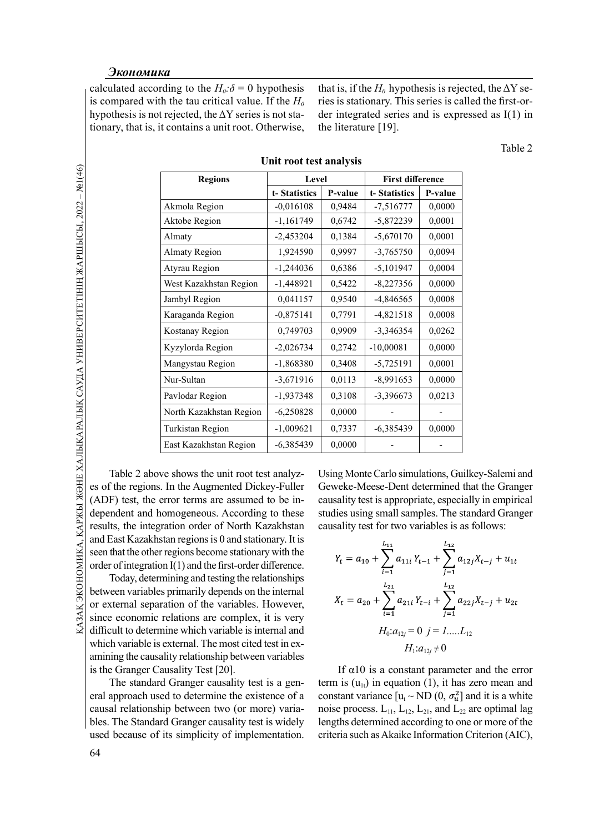calculated according to the  $H_0: \delta = 0$  hypothesis is compared with the tau critical value. If the  $H_0$ hypothesis is not rejected, the  $\Delta Y$  series is not stationary, that is, it contains a unit root. Otherwise, that is, if the  $H_0$  hypothesis is rejected, the  $\Delta Y$  series is stationary. This series is called the first-order integrated series and is expressed as I(1) in the literature [19].

Table 2

|                  | <b>First difference</b>                                            |  |  |
|------------------|--------------------------------------------------------------------|--|--|
| t-Statistics     | P-value                                                            |  |  |
| $-7,516777$      | 0,0000                                                             |  |  |
| $-5,872239$      | 0,0001                                                             |  |  |
| $-5,670170$      | 0,0001                                                             |  |  |
| $-3,765750$      | 0,0094                                                             |  |  |
| $-5,101947$      | 0,0004                                                             |  |  |
| $-8,227356$      | 0,0000                                                             |  |  |
| $-4,846565$      | 0,0008                                                             |  |  |
| $-4,821518$      | 0,0008                                                             |  |  |
| $-3,346354$      | 0,0262                                                             |  |  |
| $-10,00081$      | 0,0000                                                             |  |  |
| $-5,725191$      | 0,0001                                                             |  |  |
| $-8,991653$      | 0,0000                                                             |  |  |
| -3,396673        | 0,0213                                                             |  |  |
|                  |                                                                    |  |  |
| $-6,385439$      | 0,0000                                                             |  |  |
|                  |                                                                    |  |  |
| 0,7337<br>0,0000 | Using Monte Carlo simulations, Gui<br>Geweke-Meese-Dent determined |  |  |
|                  |                                                                    |  |  |

#### Unit root test analysis

(ADF) test, the error terms are assumed to be included the consistive test<br>dependent and homogeneous. According to these studies using<br>results, the integration order of North Kazakhstan causality test<br>and East Kazakhstan Table 2 above shows the unit root test analyzes of the regions. In the Augmented Dickey-Fuller (ADF) test, the error terms are assumed to be independent and homogeneous. According to these results, the integration order of North Kazakhstan and East Kazakhstan regions is 0 and stationary. It is seen that the other regions become stationary with the order of integration  $I(1)$  and the first-order difference.

Today, determining and testing the relationships between variables primarily depends on the internal or external separation of the variables. However, since economic relations are complex, it is very difficult to determine which variable is internal and which variable is external. The most cited test in examining the causality relationship between variables is the Granger Causality Test [20].

The standard Granger causality test is a general approach used to determine the existence of a causal relationship between two (or more) variables. The Standard Granger causality test is widely used because of its simplicity of implementation. Using Monte Carlo simulations, Guilkey-Salemi and Geweke-Meese-Dent determined that the Granger causality test is appropriate, especially in empirical studies using small samples. The standard Granger causality test for two variables is as follows:

$$
Y_{t} = a_{10} + \sum_{i=1}^{L_{11}} a_{11i} Y_{t-1} + \sum_{j=1}^{L_{12}} a_{12j} X_{t-j} + u_{1t}
$$
  

$$
X_{t} = a_{20} + \sum_{i=1}^{L_{21}} a_{21i} Y_{t-i} + \sum_{j=1}^{L_{12}} a_{22j} X_{t-j} + u_{2t}
$$
  

$$
H_{0}: a_{12j} = 0 \quad j = 1,...,L_{12}
$$
  

$$
H_{1}: a_{12j} \neq 0
$$

If  $\alpha$ 10 is a constant parameter and the error term is  $(u<sub>1t</sub>)$  in equation (1), it has zero mean and constant variance  $[u_t \sim ND(0, \sigma_u^2]$  and it is a white noise process.  $L_{11}$ ,  $L_{12}$ ,  $L_{21}$ , and  $L_{22}$  are optimal lag lengths determined according to one or more of the criteria such as Akaike Information Criterion (AIC),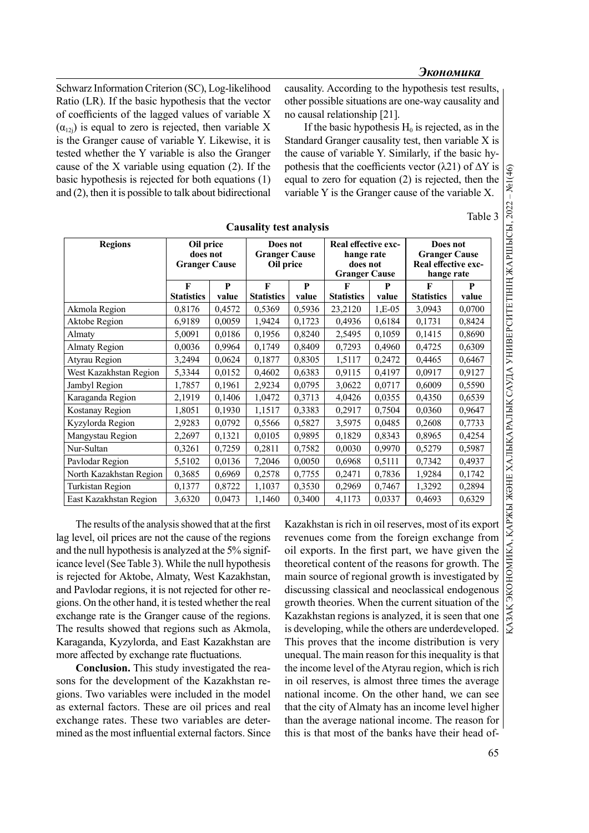Schwarz Information Criterion (SC), Log-likelihood Ratio (LR). If the basic hypothesis that the vector of coefficients of the lagged values of variable X  $(\alpha_{12i})$  is equal to zero is rejected, then variable X is the Granger cause of variable Y. Likewise, it is tested whether the Y variable is also the Granger cause of the X variable using equation (2). If the basic hypothesis is rejected for both equations (1) and (2), then it is possible to talk about bidirectional

causality. According to the hypothesis test results, other possible situations are one-way causality and no causal relationship [21].

If the basic hypothesis  $H_0$  is rejected, as in the Standard Granger causality test, then variable X is the cause of variable Y. Similarly, if the basic hypothesis that the coefficients vector ( $\lambda$ 21) of  $\Delta$ Y is equal to zero for equation (2) is rejected, then the variable Y is the Granger cause of the variable X.

| ani |
|-----|
|-----|

| Table 3<br><b>Causality test analysis</b>                                                                                                                             |                                               |            |                                               |                                                                                                         |                                                                       |            |                                                                                                                                                             |            |  |
|-----------------------------------------------------------------------------------------------------------------------------------------------------------------------|-----------------------------------------------|------------|-----------------------------------------------|---------------------------------------------------------------------------------------------------------|-----------------------------------------------------------------------|------------|-------------------------------------------------------------------------------------------------------------------------------------------------------------|------------|--|
| <b>Regions</b>                                                                                                                                                        | Oil price<br>does not<br><b>Granger Cause</b> |            | Does not<br><b>Granger Cause</b><br>Oil price |                                                                                                         | Real effective exc-<br>hange rate<br>does not<br><b>Granger Cause</b> |            | Does not<br><b>Granger Cause</b><br>Real effective exc-<br>hange rate                                                                                       |            |  |
|                                                                                                                                                                       | F<br><b>Statistics</b>                        | P<br>value | F<br><b>Statistics</b>                        | P<br>value                                                                                              | F<br><b>Statistics</b>                                                | P<br>value | $\mathbf{F}$<br><b>Statistics</b>                                                                                                                           | P<br>value |  |
| Akmola Region                                                                                                                                                         | 0,8176                                        | 0,4572     | 0,5369                                        | 0,5936                                                                                                  | 23,2120                                                               | $1,E-05$   | 3,0943                                                                                                                                                      | 0,0700     |  |
| Aktobe Region                                                                                                                                                         | 6,9189                                        | 0,0059     | 1,9424                                        | 0,1723                                                                                                  | 0,4936                                                                | 0,6184     | 0,1731                                                                                                                                                      | 0,8424     |  |
| Almaty                                                                                                                                                                | 5,0091                                        | 0,0186     | 0,1956                                        | 0,8240                                                                                                  | 2,5495                                                                | 0,1059     | 0,1415                                                                                                                                                      | 0,8690     |  |
| <b>Almaty Region</b>                                                                                                                                                  | 0,0036                                        | 0,9964     | 0,1749                                        | 0,8409                                                                                                  | 0,7293                                                                | 0,4960     | 0,4725                                                                                                                                                      | 0,6309     |  |
| <b>Atyrau Region</b>                                                                                                                                                  | 3,2494                                        | 0,0624     | 0,1877                                        | 0,8305                                                                                                  | 1,5117                                                                | 0,2472     | 0,4465                                                                                                                                                      | 0,6467     |  |
| West Kazakhstan Region                                                                                                                                                | 5,3344                                        | 0,0152     | 0,4602                                        | 0,6383                                                                                                  | 0,9115                                                                | 0,4197     | 0,0917                                                                                                                                                      | 0,9127     |  |
| Jambyl Region                                                                                                                                                         | 1,7857                                        | 0,1961     | 2,9234                                        | 0,0795                                                                                                  | 3,0622                                                                | 0,0717     | 0,6009                                                                                                                                                      | 0,5590     |  |
| Karaganda Region                                                                                                                                                      | 2,1919                                        | 0,1406     | 1,0472                                        | 0,3713                                                                                                  | 4,0426                                                                | 0,0355     | 0,4350                                                                                                                                                      | 0,6539     |  |
| Kostanay Region                                                                                                                                                       | 1,8051                                        | 0,1930     | 1,1517                                        | 0,3383                                                                                                  | 0,2917                                                                | 0,7504     | 0,0360                                                                                                                                                      | 0,9647     |  |
| Kyzylorda Region                                                                                                                                                      | 2,9283                                        | 0,0792     | 0,5566                                        | 0,5827                                                                                                  | 3,5975                                                                | 0,0485     | 0,2608                                                                                                                                                      | 0,7733     |  |
| Mangystau Region                                                                                                                                                      | 2,2697                                        | 0,1321     | 0,0105                                        | 0,9895                                                                                                  | 0,1829                                                                | 0,8343     | 0,8965                                                                                                                                                      | 0,4254     |  |
| Nur-Sultan                                                                                                                                                            | 0,3261                                        | 0,7259     | 0,2811                                        | 0,7582                                                                                                  | 0,0030                                                                | 0,9970     | 0,5279                                                                                                                                                      | 0,5987     |  |
| Pavlodar Region                                                                                                                                                       | 5,5102                                        | 0,0136     | 7,2046                                        | 0,0050                                                                                                  | 0,6968                                                                | 0,5111     | 0,7342                                                                                                                                                      | 0,4937     |  |
| North Kazakhstan Region                                                                                                                                               | 0,3685                                        | 0,6969     | 0,2578                                        | 0,7755                                                                                                  | 0,2471                                                                | 0,7836     | 1,9284                                                                                                                                                      | 0,1742     |  |
| Turkistan Region                                                                                                                                                      | 0,1377                                        | 0,8722     | 1,1037                                        | 0,3530                                                                                                  | 0,2969                                                                | 0,7467     | 1,3292                                                                                                                                                      | 0,2894     |  |
| East Kazakhstan Region                                                                                                                                                | 3,6320                                        | 0,0473     | 1,1460                                        | 0,3400                                                                                                  | 4,1173                                                                | 0,0337     | 0,4693                                                                                                                                                      | 0,6329     |  |
| The results of the analysis showed that at the first<br>ig level, oil prices are not the cause of the regions<br>nd the null hypothesis is analyzed at the 5% signif- |                                               |            |                                               |                                                                                                         |                                                                       |            | Kazakhstan is rich in oil reserves, most of its export<br>revenues come from the foreign exchange from<br>oil exports. In the first part, we have given the |            |  |
| cance level (See Table 3). While the null hypothesis<br>s rejected for Aktobe, Almaty, West Kazakhstan,                                                               |                                               |            |                                               | theoretical content of the reasons for growth. The<br>main source of regional growth is investigated by |                                                                       |            |                                                                                                                                                             |            |  |
| nd Pavlodar regions, it is not rejected for other re-                                                                                                                 |                                               |            |                                               | discussing classical and neoclassical endogenous                                                        |                                                                       |            |                                                                                                                                                             |            |  |
| ions. On the other hand, it is tested whether the real                                                                                                                |                                               |            |                                               | growth theories. When the current situation of the                                                      |                                                                       |            |                                                                                                                                                             |            |  |
| xchange rate is the Granger cause of the regions.                                                                                                                     |                                               |            |                                               | Kazakhstan regions is analyzed, it is seen that one                                                     |                                                                       |            |                                                                                                                                                             |            |  |
|                                                                                                                                                                       |                                               |            |                                               |                                                                                                         |                                                                       |            |                                                                                                                                                             |            |  |

The results of the analysis showed that at the first lag level, oil prices are not the cause of the regions and the null hypothesis is analyzed at the 5% significance level (See Table 3). While the null hypothesis is rejected for Aktobe, Almaty, West Kazakhstan, and Pavlodar regions, it is not rejected for other regions. On the other hand, it is tested whether the real exchange rate is the Granger cause of the regions. The results showed that regions such as Akmola, Karaganda, Kyzylorda, and East Kazakhstan are more affected by exchange rate fluctuations.

Conclusion. This study investigated the reasons for the development of the Kazakhstan regions. Two variables were included in the model as external factors. These are oil prices and real exchange rates. These two variables are determined as the most influential external factors. Since revenues come from the foreign exchange from oil exports. In the first part, we have given the theoretical content of the reasons for growth. The main source of regional growth is investigated by discussing classical and neoclassical endogenous growth theories. When the current situation of the Kazakhstan regions is analyzed, it is seen that one is developing, while the others are underdeveloped. This proves that the income distribution is very unequal. The main reason for this inequality is that the income level of the Atyrau region, which is rich in oil reserves, is almost three times the average national income. On the other hand, we can see that the city of Almaty has an income level higher than the average national income. The reason for this is that most of the banks have their head of-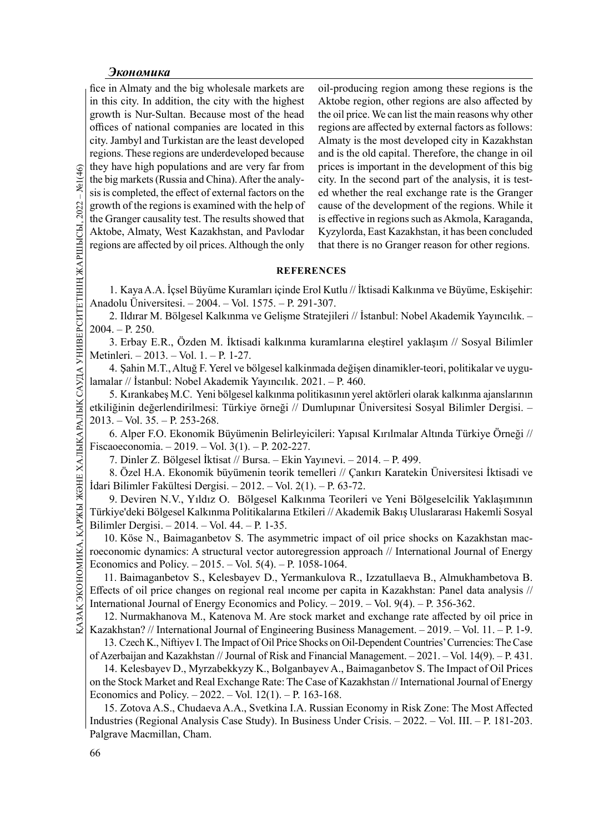General the big markets (Russia<br>
sis is completed, the effect<br>
growth of the regions is<br>
the Granger causality te<br>
Aktobe, Almaty, West<br>
regions are affected by c<br>
regions are affected by c<br>
regions are affected by c<br>
Anad fice in Almaty and the big wholesale markets are in this city. In addition, the city with the highest growth is Nur-Sultan. Because most of the head offices of national companies are located in this city. Jambyl and Turkistan are the least developed regions. These regions are underdeveloped because they have high populations and are very far from the big markets (Russia and China). After the analysis is completed, the effect of external factors on the growth of the regions is examined with the help of the Granger causality test. The results showed that Aktobe, Almaty, West Kazakhstan, and Pavlodar regions are affected by oil prices. Although the only

oil-producing region among these regions is the Aktobe region, other regions are also affected by the oil price. We can list the main reasons why other regions are affected by external factors as follows: Almaty is the most developed city in Kazakhstan and is the old capital. Therefore, the change in oil prices is important in the development of this big city. In the second part of the analysis, it is tested whether the real exchange rate is the Granger cause of the development of the regions. While it is effective in regions such as Akmola, Karaganda, Kyzylorda, East Kazakhstan, it has been concluded that there is no Granger reason for other regions.

## **REFERENCES**

1. Kaya A.A. İçsel Büyüme Kuramları içinde Erol Kutlu // İktisadi Kalkınma ve Büyüme, Eskişehir: Anadolu Üniversitesi. – 2004. – Vol. 1575. – P. 291-307.

2. Ildırar M. Bölgesel Kalkınma ve Gelişme Stratejileri // İstanbul: Nobel Akademik Yayıncılık. – 2004. – P. 250.

3. Erbay E.R., Özden M. İktisadi kalkınma kuramlarına eleştirel yaklaşım // Sosyal Bilimler Metinleri. – 2013. – Vol. 1. – P. 1-27.

4. Şahin M.T., Altuğ F. Yerel ve bölgesel kalkinmada değişen dinamikler-teori, politikalar ve uygulamalar // İstanbul: Nobel Akademik Yayıncılık. 2021. – P. 460.

5. Kırankabeş M.C. Yeni bölgesel kalkınma politikasının yerel aktörleri olarak kalkınma ajanslarının etkiliğinin değerlendirilmesi: Türkiye örneği // Dumlupınar Üniversitesi Sosyal Bilimler Dergisi. – 2013. – Vol. 35. – P. 253-268.

6. Alper F.O. Ekonomik Büyümenin Belirleyicileri: Yapısal Kırılmalar Altında Türkiye Örneği // Fiscaoeconomia. – 2019. – Vol. 3(1). – P. 202-227.

7. Dinler Z. Bölgesel İktisat // Bursa. – Ekin Yayınevi. – 2014. – P. 499.

8. Özel H.A. Ekonomik büyümenin teorik temelleri // Çankırı Karatekin Üniversitesi İktisadi ve İdari Bilimler Fakültesi Dergisi. – 2012. – Vol. 2(1). – P. 63-72.

9. Deviren N.V., Yıldız O. Bölgesel Kalkınma Teorileri ve Yeni Bölgeselcilik Yaklaşımının Türkiye'deki Bölgesel Kalkınma Politikalarına Etkileri // Akademik Bakış Uluslararası Hakemli Sosyal Bilimler Dergisi. – 2014. – Vol. 44. – P. 1-35.

10. Köse N., Baimaganbetov S. The asymmetric impact of oil price shocks on Kazakhstan macroeconomic dynamics: A structural vector autoregression approach // International Journal of Energy Economics and Policy. – 2015. – Vol. 5(4). – P. 1058-1064.

9. Deviren N.V., Yıldız O. Bölgesel Kalkınma Teorileri<br>
Türkiye'deki Bölgesel Kalkınma Politikalarına Etkileri // Akadem<br>
Bilimler Dergisi. – 2014. – Vol. 44. – P. 1-35.<br>
10. Köse N., Baimaganbetov S. The asymmetric impac 11. Baimaganbetov S., Kelesbayev D., Yermankulova R., Izzatullaeva B., Almukhambetova B. Effects of oil price changes on regional real income per capita in Kazakhstan: Panel data analysis // International Journal of Energy Economics and Policy. – 2019. – Vol. 9(4). – P. 356-362.

12. Nurmakhanova M., Katenova M. Are stock market and exchange rate affected by oil price in Kazakhstan? // International Journal of Engineering Business Management. – 2019. – Vol. 11. – P. 1-9.

13. Czech K., Niftiyev I. The Impact of Oil Price Shocks on Oil-Dependent Countries' Currencies: The Case of Azerbaijan and Kazakhstan // Journal of Risk and Financial Management. – 2021. – Vol. 14(9). – P. 431.

14. Kelesbayev D., Myrzabekkyzy K., Bolganbayev A., Baimaganbetov S. The Impact of Oil Prices on the Stock Market and Real Exchange Rate: The Case of Kazakhstan // International Journal of Energy Economics and Policy. – 2022. – Vol. 12(1). – P. 163-168.

15. Zotova A.S., Chudaeva A.A., Svetkina I.A. Russian Economy in Risk Zone: The Most Affected Industries (Regional Analysis Case Study). In Business Under Crisis. – 2022. – Vol. III. – P. 181-203. Palgrave Macmillan, Cham.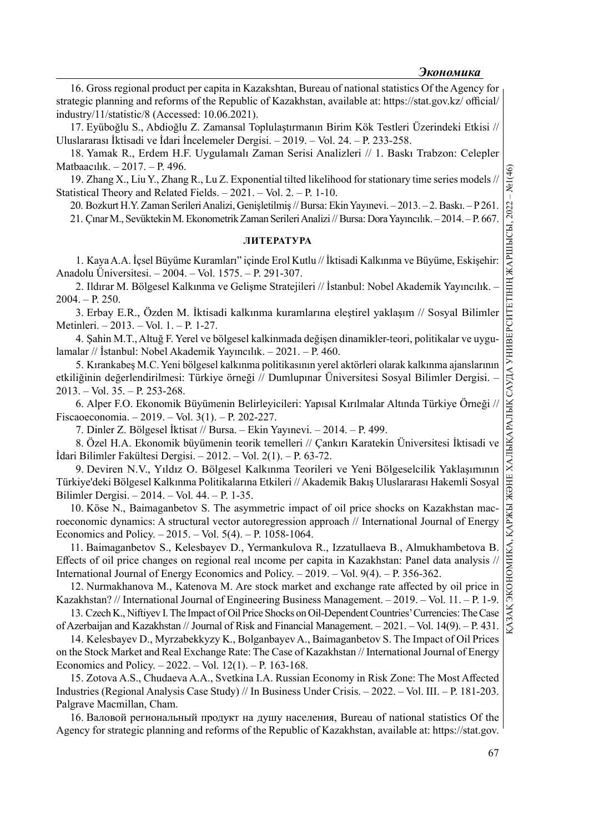16. Gross regional product per capita in Kazakshtan, Bureau of national statistics Of the Agency for strategic planning and reforms of the Republic of Kazakhstan, available at: https://stat.gov.kz/ official/ industry/11/statistic/8 (Accessed: 10.06.2021).

17. Eyüboğlu S., Abdioğlu Z. Zamansal Toplulaştırmanın Birim Kök Testleri Üzerindeki Etkisi // Uluslararası İktisadi ve İdari İncelemeler Dergisi. – 2019. – Vol. 24. – P. 233-258.

18. Yamak R., Erdem H.F. Uygulamalı Zaman Serisi Analizleri // 1. Baskı Trabzon: Celepler Matbaacılık. – 2017. – P. 496.

19. Zhang X., Liu Y., Zhang R., Lu Z. Exponential tilted likelihood for stationary time series models  $//\sqrt{\frac{q}{n}}$ <br>tistical Theory and Related Fields. – 2021. – Vol. 2. – P. 1-10. Statistical Theory and Related Fields. – 2021. – Vol. 2. – P. 1-10.

21. Çınar M., Sevüktekin M. Ekonometrik Zaman Serileri Analizi // Bursa: Dora Yayıncılık. – 2014. – P. 667.

### ЛИТЕРАТУРА

1. Kaya A.A. İçsel Büyüme Kuramları" içinde Erol Kutlu // İktisadi Kalkınma ve Büyüme, Eskişehir: Anadolu Üniversitesi. – 2004. – Vol. 1575. – P. 291-307.

2. Ildırar M. Bölgesel Kalkınma ve Gelişme Stratejileri // İstanbul: Nobel Akademik Yayıncılık. – 2004. – P. 250.

3. Erbay E.R., Özden M. İktisadi kalkınma kuramlarına eleştirel yaklaşım // Sosyal Bilimler Metinleri. – 2013. – Vol. 1. – P. 1-27.

4. Şahin M.T., Altuğ F. Yerel ve bölgesel kalkinmada değişen dinamikler-teori, politikalar ve uygulamalar // İstanbul: Nobel Akademik Yayıncılık. – 2021. – P. 460.

20. Bozkurt H.Y. Zaman Serileri Analizi, Genişletilmiş // Bursa: Ekin Yayınevi. – 2013. – 2. Baskı. – P 261. [2]<br>
21. Cmr M., Seviktekin M. Ekonometrik Analizi (Parras Terleri Analizi // Bursa: Dorn Yayıncılık. – 2014. – 5. Kırankabeş M.C. Yeni bölgesel kalkınma politikasının yerel aktörleri olarak kalkınma ajanslarının etkiliğinin değerlendirilmesi: Türkiye örneği // Dumlupınar Üniversitesi Sosyal Bilimler Dergisi. – 2013. – Vol. 35. – P. 253-268.

6. Alper F.O. Ekonomik Büyümenin Belirleyicileri: Yapısal Kırılmalar Altında Türkiye Örneği // Fiscaoeconomia. – 2019. – Vol. 3(1). – P. 202-227.

7. Dinler Z. Bölgesel İktisat // Bursa. – Ekin Yayınevi. – 2014. – P. 499.

8. Özel H.A. Ekonomik büyümenin teorik temelleri // Çankırı Karatekin Üniversitesi İktisadi ve İdari Bilimler Fakültesi Dergisi. – 2012. – Vol. 2(1). – P. 63-72.

9. Deviren N.V., Yıldız O. Bölgesel Kalkınma Teorileri ve Yeni Bölgeselcilik Yaklaşımının Türkiye'deki Bölgesel Kalkınma Politikalarına Etkileri // Akademik Bakış Uluslararası Hakemli Sosyal Bilimler Dergisi. – 2014. – Vol. 44. – P. 1-35.

10. Köse N., Baimaganbetov S. The asymmetric impact of oil price shocks on Kazakhstan macroeconomic dynamics: A structural vector autoregression approach // International Journal of Energy Economics and Policy. – 2015. – Vol. 5(4). – P. 1058-1064.

11. Baimaganbetov S., Kelesbayev D., Yermankulova R., Izzatullaeva B., Almukhambetova B. Effects of oil price changes on regional real income per capita in Kazakhstan: Panel data analysis // International Journal of Energy Economics and Policy. – 2019. – Vol. 9(4). – P. 356-362.

12. Nurmakhanova M., Katenova M. Are stock market and exchange rate affected by oil price in Kazakhstan? // International Journal of Engineering Business Management. – 2019. – Vol. 11. – P. 1-9.

13. Czech K., Niftiyev I. The Impact of Oil Price Shocks on Oil-Dependent Countries' Currencies: The Case of Azerbaijan and Kazakhstan // Journal of Risk and Financial Management. – 2021. – Vol. 14(9). – P. 431.

14. Kelesbayev D., Myrzabekkyzy K., Bolganbayev A., Baimaganbetov S. The Impact of Oil Prices on the Stock Market and Real Exchange Rate: The Case of Kazakhstan // International Journal of Energy Economics and Policy. – 2022. – Vol. 12(1). – P. 163-168.

15. Zotova A.S., Chudaeva A.A., Svetkina I.A. Russian Economy in Risk Zone: The Most Affected Industries (Regional Analysis Case Study) // In Business Under Crisis.  $- 2022$ . – Vol. III. – P. 181-203. Palgrave Macmillan, Cham.

16. Валовой региональный продукт на душу населения, Bureau of national statistics Of the Agency for strategic planning and reforms of the Republic of Kazakhstan, available at: https://stat.gov.